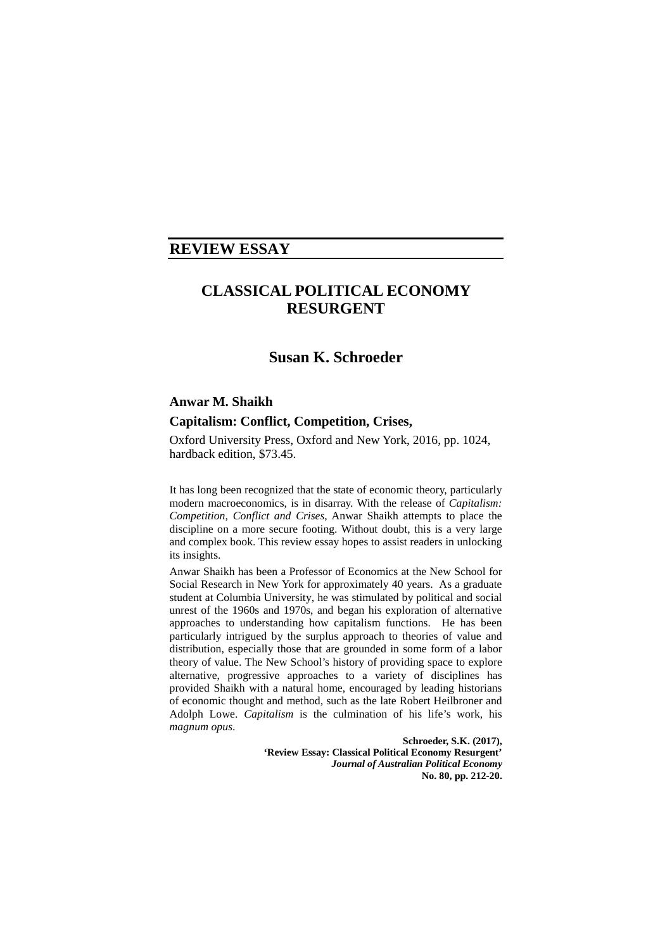# **REVIEW ESSAY**

# **CLASSICAL POLITICAL ECONOMY RESURGENT**

# **Susan K. Schroeder**

## **Anwar M. Shaikh**

# **Capitalism: Conflict, Competition, Crises,**

Oxford University Press, Oxford and New York, 2016, pp. 1024, hardback edition, \$73.45.

It has long been recognized that the state of economic theory, particularly modern macroeconomics, is in disarray. With the release of *Capitalism: Competition, Conflict and Crises*, Anwar Shaikh attempts to place the discipline on a more secure footing. Without doubt, this is a very large and complex book. This review essay hopes to assist readers in unlocking its insights.

Anwar Shaikh has been a Professor of Economics at the New School for Social Research in New York for approximately 40 years. As a graduate student at Columbia University, he was stimulated by political and social unrest of the 1960s and 1970s, and began his exploration of alternative approaches to understanding how capitalism functions. He has been particularly intrigued by the surplus approach to theories of value and distribution, especially those that are grounded in some form of a labor theory of value. The New School's history of providing space to explore alternative, progressive approaches to a variety of disciplines has provided Shaikh with a natural home, encouraged by leading historians of economic thought and method, such as the late Robert Heilbroner and Adolph Lowe. *Capitalism* is the culmination of his life's work, his *magnum opus*.

> **Schroeder, S.K. (2017), 'Review Essay: Classical Political Economy Resurgent'** *Journal of Australian Political Economy* **No. 80, pp. 212-20.**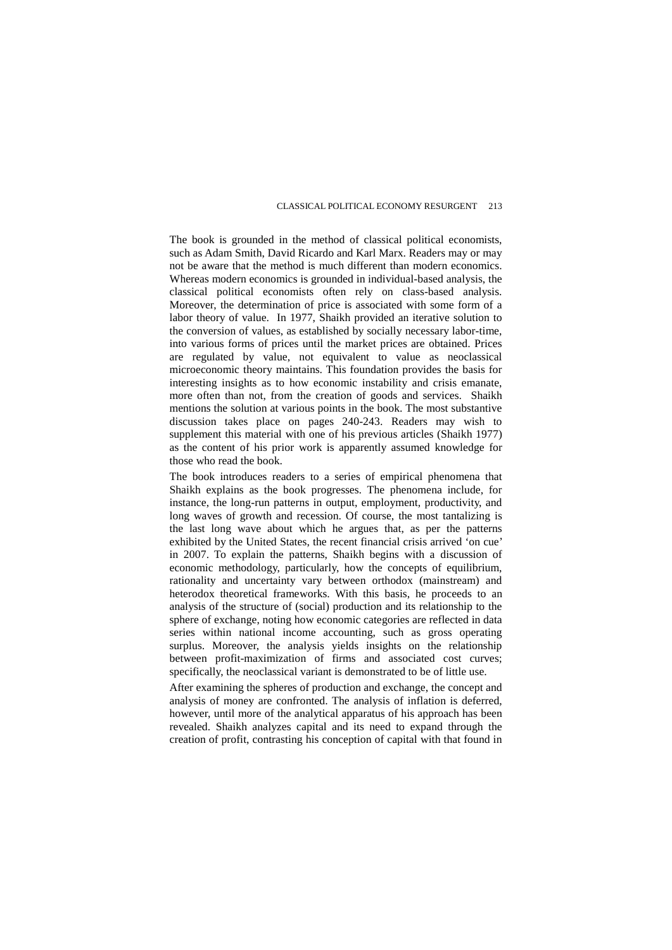The book is grounded in the method of classical political economists, such as Adam Smith, David Ricardo and Karl Marx. Readers may or may not be aware that the method is much different than modern economics. Whereas modern economics is grounded in individual-based analysis, the classical political economists often rely on class-based analysis. Moreover, the determination of price is associated with some form of a labor theory of value. In 1977, Shaikh provided an iterative solution to the conversion of values, as established by socially necessary labor-time, into various forms of prices until the market prices are obtained. Prices are regulated by value, not equivalent to value as neoclassical microeconomic theory maintains. This foundation provides the basis for interesting insights as to how economic instability and crisis emanate, more often than not, from the creation of goods and services. Shaikh mentions the solution at various points in the book. The most substantive discussion takes place on pages 240-243. Readers may wish to supplement this material with one of his previous articles (Shaikh 1977) as the content of his prior work is apparently assumed knowledge for those who read the book.

The book introduces readers to a series of empirical phenomena that Shaikh explains as the book progresses. The phenomena include, for instance, the long-run patterns in output, employment, productivity, and long waves of growth and recession. Of course, the most tantalizing is the last long wave about which he argues that, as per the patterns exhibited by the United States, the recent financial crisis arrived 'on cue' in 2007. To explain the patterns, Shaikh begins with a discussion of economic methodology, particularly, how the concepts of equilibrium, rationality and uncertainty vary between orthodox (mainstream) and heterodox theoretical frameworks. With this basis, he proceeds to an analysis of the structure of (social) production and its relationship to the sphere of exchange, noting how economic categories are reflected in data series within national income accounting, such as gross operating surplus. Moreover, the analysis yields insights on the relationship between profit-maximization of firms and associated cost curves; specifically, the neoclassical variant is demonstrated to be of little use.

After examining the spheres of production and exchange, the concept and analysis of money are confronted. The analysis of inflation is deferred, however, until more of the analytical apparatus of his approach has been revealed. Shaikh analyzes capital and its need to expand through the creation of profit, contrasting his conception of capital with that found in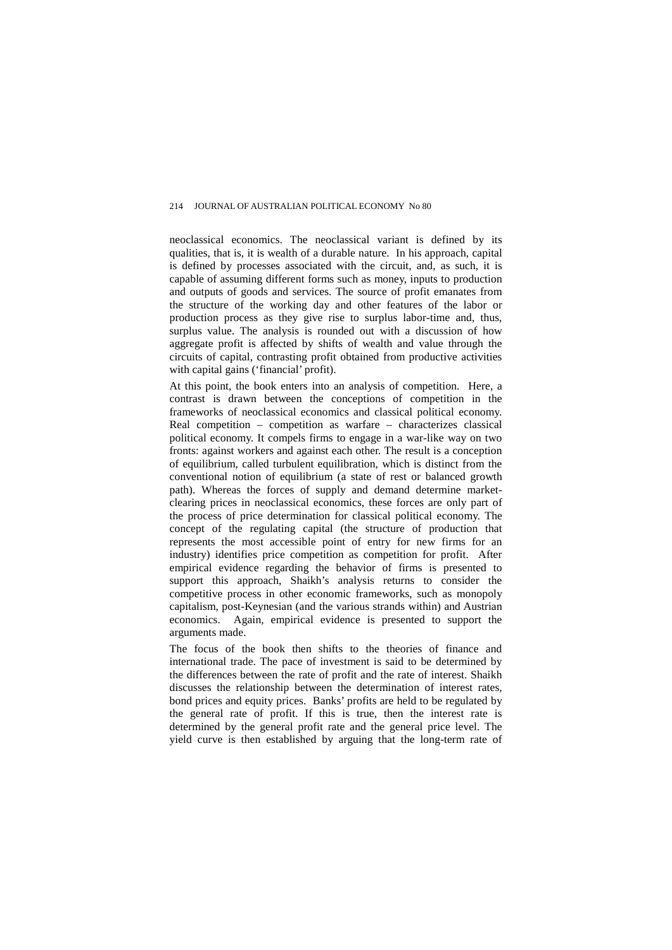neoclassical economics. The neoclassical variant is defined by its qualities, that is, it is wealth of a durable nature. In his approach, capital is defined by processes associated with the circuit, and, as such, it is capable of assuming different forms such as money, inputs to production and outputs of goods and services. The source of profit emanates from the structure of the working day and other features of the labor or production process as they give rise to surplus labor-time and, thus, surplus value. The analysis is rounded out with a discussion of how aggregate profit is affected by shifts of wealth and value through the circuits of capital, contrasting profit obtained from productive activities with capital gains ('financial' profit).

At this point, the book enters into an analysis of competition. Here, a contrast is drawn between the conceptions of competition in the frameworks of neoclassical economics and classical political economy. Real competition – competition as warfare – characterizes classical political economy. It compels firms to engage in a war-like way on two fronts: against workers and against each other. The result is a conception of equilibrium, called turbulent equilibration, which is distinct from the conventional notion of equilibrium (a state of rest or balanced growth path). Whereas the forces of supply and demand determine marketclearing prices in neoclassical economics, these forces are only part of the process of price determination for classical political economy. The concept of the regulating capital (the structure of production that represents the most accessible point of entry for new firms for an industry) identifies price competition as competition for profit. After empirical evidence regarding the behavior of firms is presented to support this approach, Shaikh's analysis returns to consider the competitive process in other economic frameworks, such as monopoly capitalism, post-Keynesian (and the various strands within) and Austrian economics. Again, empirical evidence is presented to support the arguments made.

The focus of the book then shifts to the theories of finance and international trade. The pace of investment is said to be determined by the differences between the rate of profit and the rate of interest. Shaikh discusses the relationship between the determination of interest rates, bond prices and equity prices. Banks' profits are held to be regulated by the general rate of profit. If this is true, then the interest rate is determined by the general profit rate and the general price level. The yield curve is then established by arguing that the long-term rate of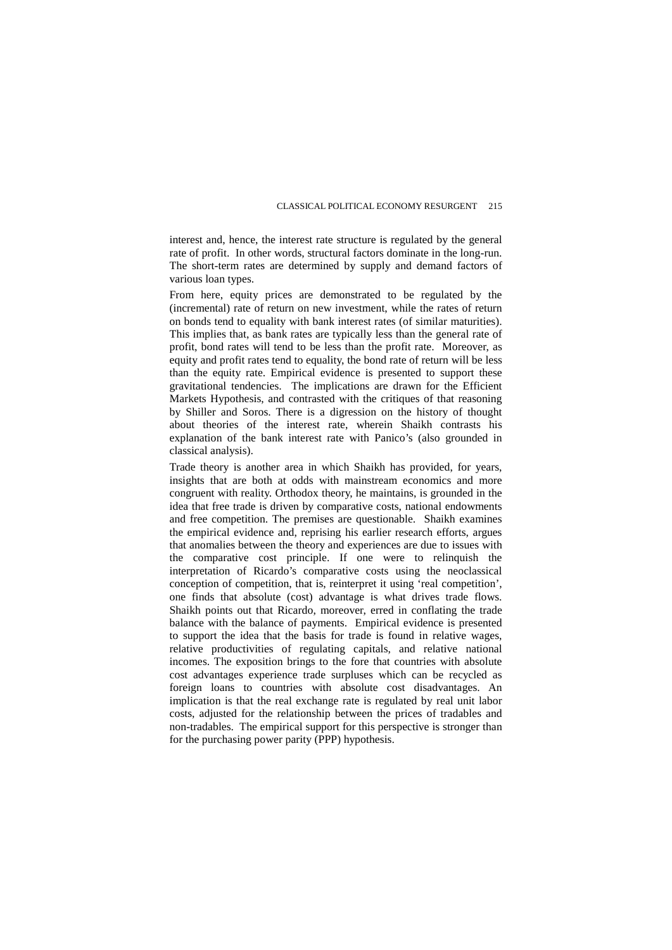interest and, hence, the interest rate structure is regulated by the general rate of profit. In other words, structural factors dominate in the long-run. The short-term rates are determined by supply and demand factors of various loan types.

From here, equity prices are demonstrated to be regulated by the (incremental) rate of return on new investment, while the rates of return on bonds tend to equality with bank interest rates (of similar maturities). This implies that, as bank rates are typically less than the general rate of profit, bond rates will tend to be less than the profit rate. Moreover, as equity and profit rates tend to equality, the bond rate of return will be less than the equity rate. Empirical evidence is presented to support these gravitational tendencies. The implications are drawn for the Efficient Markets Hypothesis, and contrasted with the critiques of that reasoning by Shiller and Soros. There is a digression on the history of thought about theories of the interest rate, wherein Shaikh contrasts his explanation of the bank interest rate with Panico's (also grounded in classical analysis).

Trade theory is another area in which Shaikh has provided, for years, insights that are both at odds with mainstream economics and more congruent with reality. Orthodox theory, he maintains, is grounded in the idea that free trade is driven by comparative costs, national endowments and free competition. The premises are questionable. Shaikh examines the empirical evidence and, reprising his earlier research efforts, argues that anomalies between the theory and experiences are due to issues with the comparative cost principle. If one were to relinquish the interpretation of Ricardo's comparative costs using the neoclassical conception of competition, that is, reinterpret it using 'real competition', one finds that absolute (cost) advantage is what drives trade flows. Shaikh points out that Ricardo, moreover, erred in conflating the trade balance with the balance of payments. Empirical evidence is presented to support the idea that the basis for trade is found in relative wages, relative productivities of regulating capitals, and relative national incomes. The exposition brings to the fore that countries with absolute cost advantages experience trade surpluses which can be recycled as foreign loans to countries with absolute cost disadvantages. An implication is that the real exchange rate is regulated by real unit labor costs, adjusted for the relationship between the prices of tradables and non-tradables. The empirical support for this perspective is stronger than for the purchasing power parity (PPP) hypothesis.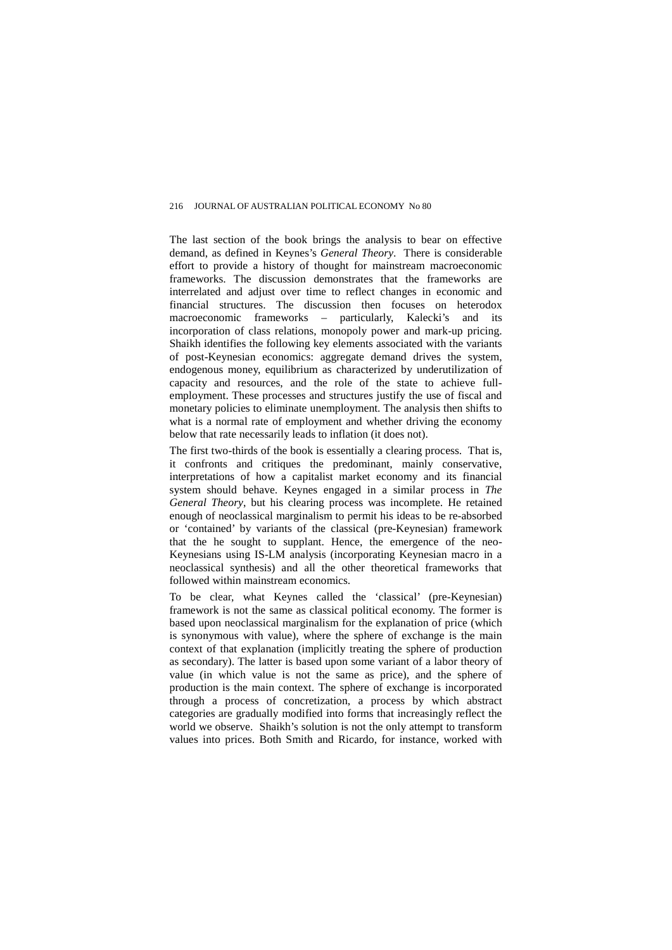The last section of the book brings the analysis to bear on effective demand, as defined in Keynes's *General Theory*. There is considerable effort to provide a history of thought for mainstream macroeconomic frameworks. The discussion demonstrates that the frameworks are interrelated and adjust over time to reflect changes in economic and financial structures. The discussion then focuses on heterodox macroeconomic frameworks – particularly, Kalecki's and its incorporation of class relations, monopoly power and mark-up pricing. Shaikh identifies the following key elements associated with the variants of post-Keynesian economics: aggregate demand drives the system, endogenous money, equilibrium as characterized by underutilization of capacity and resources, and the role of the state to achieve fullemployment. These processes and structures justify the use of fiscal and monetary policies to eliminate unemployment. The analysis then shifts to what is a normal rate of employment and whether driving the economy below that rate necessarily leads to inflation (it does not).

The first two-thirds of the book is essentially a clearing process. That is, it confronts and critiques the predominant, mainly conservative, interpretations of how a capitalist market economy and its financial system should behave. Keynes engaged in a similar process in *The General Theory*, but his clearing process was incomplete. He retained enough of neoclassical marginalism to permit his ideas to be re-absorbed or 'contained' by variants of the classical (pre-Keynesian) framework that the he sought to supplant. Hence, the emergence of the neo-Keynesians using IS-LM analysis (incorporating Keynesian macro in a neoclassical synthesis) and all the other theoretical frameworks that followed within mainstream economics.

To be clear, what Keynes called the 'classical' (pre-Keynesian) framework is not the same as classical political economy. The former is based upon neoclassical marginalism for the explanation of price (which is synonymous with value), where the sphere of exchange is the main context of that explanation (implicitly treating the sphere of production as secondary). The latter is based upon some variant of a labor theory of value (in which value is not the same as price), and the sphere of production is the main context. The sphere of exchange is incorporated through a process of concretization, a process by which abstract categories are gradually modified into forms that increasingly reflect the world we observe. Shaikh's solution is not the only attempt to transform values into prices. Both Smith and Ricardo, for instance, worked with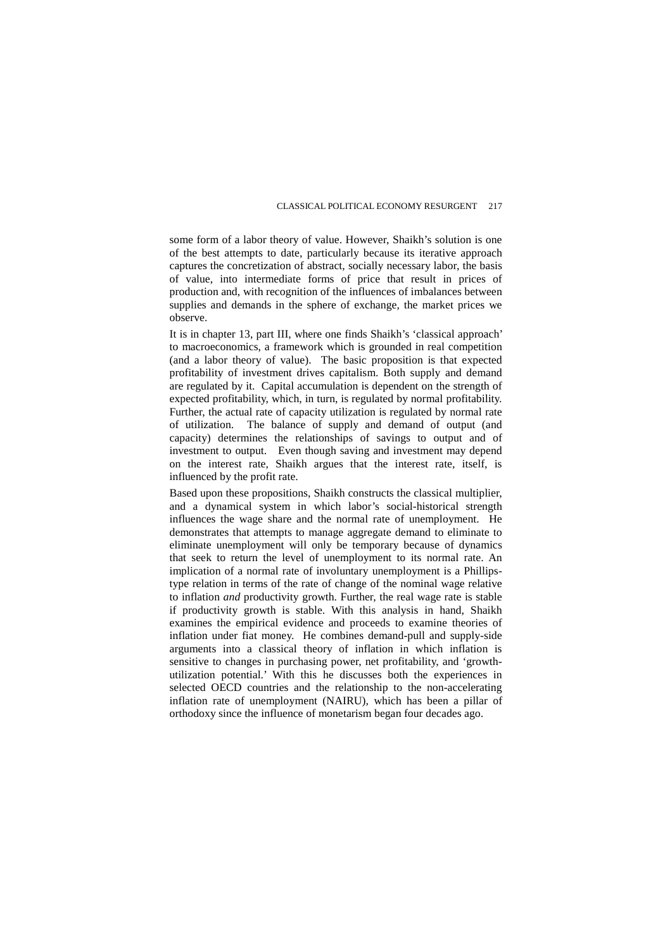some form of a labor theory of value. However, Shaikh's solution is one of the best attempts to date, particularly because its iterative approach captures the concretization of abstract, socially necessary labor, the basis of value, into intermediate forms of price that result in prices of production and, with recognition of the influences of imbalances between supplies and demands in the sphere of exchange, the market prices we observe.

It is in chapter 13, part III, where one finds Shaikh's 'classical approach' to macroeconomics, a framework which is grounded in real competition (and a labor theory of value). The basic proposition is that expected profitability of investment drives capitalism. Both supply and demand are regulated by it. Capital accumulation is dependent on the strength of expected profitability, which, in turn, is regulated by normal profitability. Further, the actual rate of capacity utilization is regulated by normal rate of utilization. The balance of supply and demand of output (and capacity) determines the relationships of savings to output and of investment to output. Even though saving and investment may depend on the interest rate, Shaikh argues that the interest rate, itself, is influenced by the profit rate.

Based upon these propositions, Shaikh constructs the classical multiplier, and a dynamical system in which labor's social-historical strength influences the wage share and the normal rate of unemployment. He demonstrates that attempts to manage aggregate demand to eliminate to eliminate unemployment will only be temporary because of dynamics that seek to return the level of unemployment to its normal rate. An implication of a normal rate of involuntary unemployment is a Phillipstype relation in terms of the rate of change of the nominal wage relative to inflation *and* productivity growth. Further, the real wage rate is stable if productivity growth is stable. With this analysis in hand, Shaikh examines the empirical evidence and proceeds to examine theories of inflation under fiat money. He combines demand-pull and supply-side arguments into a classical theory of inflation in which inflation is sensitive to changes in purchasing power, net profitability, and 'growthutilization potential.' With this he discusses both the experiences in selected OECD countries and the relationship to the non-accelerating inflation rate of unemployment (NAIRU), which has been a pillar of orthodoxy since the influence of monetarism began four decades ago.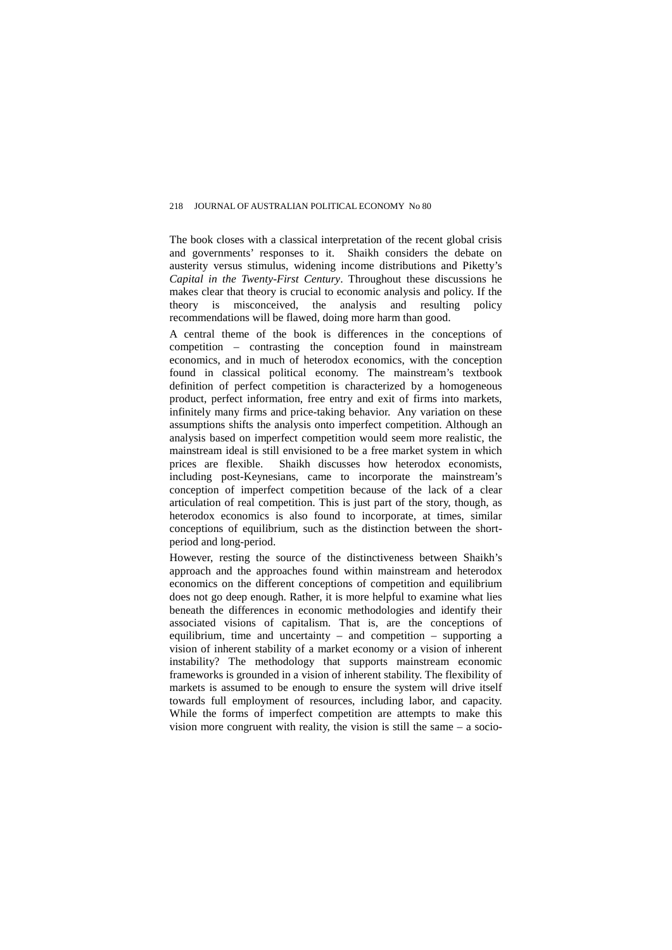The book closes with a classical interpretation of the recent global crisis and governments' responses to it. Shaikh considers the debate on austerity versus stimulus, widening income distributions and Piketty's *Capital in the Twenty-First Century*. Throughout these discussions he makes clear that theory is crucial to economic analysis and policy. If the theory is misconceived, the analysis and resulting policy is misconceived, the analysis and resulting policy recommendations will be flawed, doing more harm than good.

A central theme of the book is differences in the conceptions of competition – contrasting the conception found in mainstream economics, and in much of heterodox economics, with the conception found in classical political economy. The mainstream's textbook definition of perfect competition is characterized by a homogeneous product, perfect information, free entry and exit of firms into markets, infinitely many firms and price-taking behavior. Any variation on these assumptions shifts the analysis onto imperfect competition. Although an analysis based on imperfect competition would seem more realistic, the mainstream ideal is still envisioned to be a free market system in which prices are flexible. Shaikh discusses how heterodox economists, Shaikh discusses how heterodox economists, including post-Keynesians, came to incorporate the mainstream's conception of imperfect competition because of the lack of a clear articulation of real competition. This is just part of the story, though, as heterodox economics is also found to incorporate, at times, similar conceptions of equilibrium, such as the distinction between the shortperiod and long-period.

However, resting the source of the distinctiveness between Shaikh's approach and the approaches found within mainstream and heterodox economics on the different conceptions of competition and equilibrium does not go deep enough. Rather, it is more helpful to examine what lies beneath the differences in economic methodologies and identify their associated visions of capitalism. That is, are the conceptions of equilibrium, time and uncertainty – and competition – supporting a vision of inherent stability of a market economy or a vision of inherent instability? The methodology that supports mainstream economic frameworks is grounded in a vision of inherent stability. The flexibility of markets is assumed to be enough to ensure the system will drive itself towards full employment of resources, including labor, and capacity. While the forms of imperfect competition are attempts to make this vision more congruent with reality, the vision is still the same – a socio-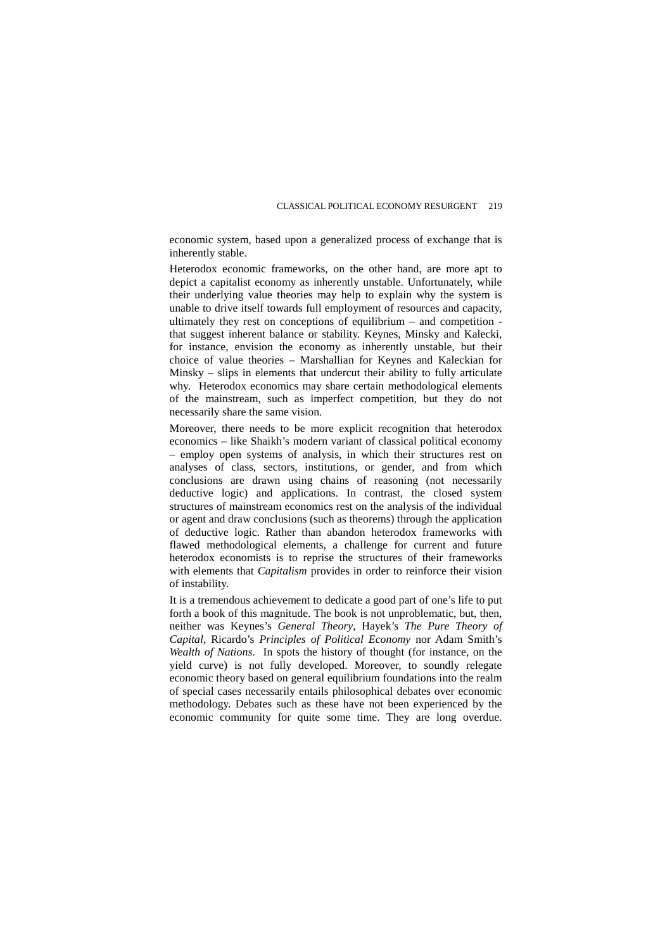economic system, based upon a generalized process of exchange that is inherently stable.

Heterodox economic frameworks, on the other hand, are more apt to depict a capitalist economy as inherently unstable. Unfortunately, while their underlying value theories may help to explain why the system is unable to drive itself towards full employment of resources and capacity, ultimately they rest on conceptions of equilibrium – and competition that suggest inherent balance or stability. Keynes, Minsky and Kalecki, for instance, envision the economy as inherently unstable, but their choice of value theories – Marshallian for Keynes and Kaleckian for Minsky – slips in elements that undercut their ability to fully articulate why. Heterodox economics may share certain methodological elements of the mainstream, such as imperfect competition, but they do not necessarily share the same vision.

Moreover, there needs to be more explicit recognition that heterodox economics – like Shaikh's modern variant of classical political economy – employ open systems of analysis, in which their structures rest on analyses of class, sectors, institutions, or gender, and from which conclusions are drawn using chains of reasoning (not necessarily deductive logic) and applications. In contrast, the closed system structures of mainstream economics rest on the analysis of the individual or agent and draw conclusions (such as theorems) through the application of deductive logic. Rather than abandon heterodox frameworks with flawed methodological elements, a challenge for current and future heterodox economists is to reprise the structures of their frameworks with elements that *Capitalism* provides in order to reinforce their vision of instability.

It is a tremendous achievement to dedicate a good part of one's life to put forth a book of this magnitude. The book is not unproblematic, but, then, neither was Keynes's *General Theory*, Hayek's *The Pure Theory of Capital,* Ricardo's *Principles of Political Economy* nor Adam Smith's *Wealth of Nations*. In spots the history of thought (for instance, on the yield curve) is not fully developed. Moreover, to soundly relegate economic theory based on general equilibrium foundations into the realm of special cases necessarily entails philosophical debates over economic methodology. Debates such as these have not been experienced by the economic community for quite some time. They are long overdue.